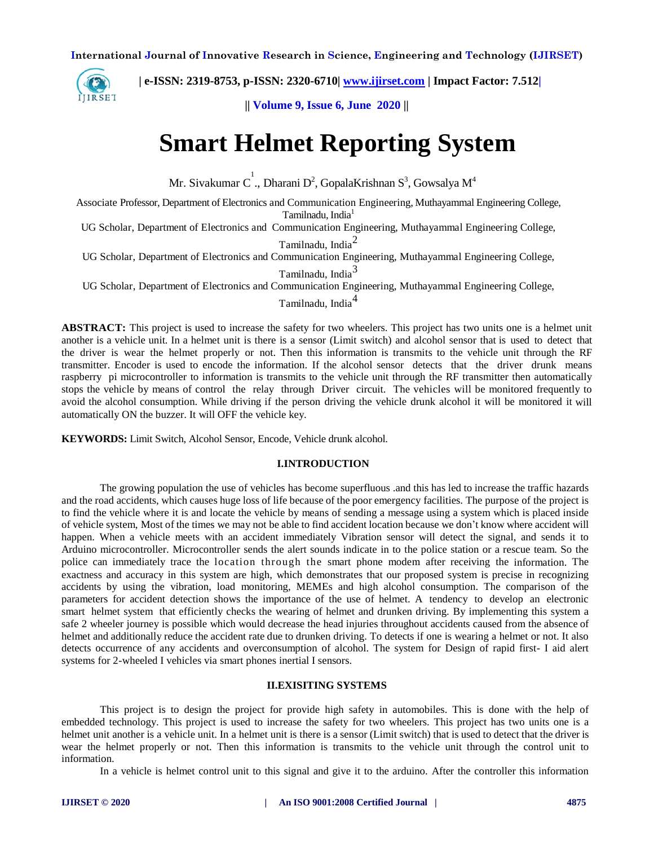

 **| e-ISSN: 2319-8753, p-ISSN: 2320-6710| [www.ijirset.com](http://www.ijirset.com/) | Impact Factor: 7.512|**

**|| Volume 9, Issue 6, June 2020 ||** 

# **Smart Helmet Reporting System**

Mr. Sivakumar C<sup>1</sup>., Dharani D<sup>2</sup>, GopalaKrishnan S<sup>3</sup>, Gowsalya M<sup>4</sup>

Associate Professor, Department of Electronics and Communication Engineering, Muthayammal Engineering College, Tamilnadu, India<sup>1</sup>

UG Scholar, Department of Electronics and Communication Engineering, Muthayammal Engineering College,

Tamilnadu, India<sup>2</sup>

UG Scholar, Department of Electronics and Communication Engineering, Muthayammal Engineering College,

Tamilnadu, India<sup>3</sup>

UG Scholar, Department of Electronics and Communication Engineering, Muthayammal Engineering College,

Tamilnadu, India<sup>4</sup>

**ABSTRACT:** This project is used to increase the safety for two wheelers. This project has two units one is a helmet unit another is a vehicle unit. In a helmet unit is there is a sensor (Limit switch) and alcohol sensor that is used to detect that the driver is wear the helmet properly or not. Then this information is transmits to the vehicle unit through the RF transmitter. Encoder is used to encode the information. If the alcohol sensor detects that the driver drunk means raspberry pi microcontroller to information is transmits to the vehicle unit through the RF transmitter then automatically stops the vehicle by means of control the relay through Driver circuit. The vehicles will be monitored frequently to avoid the alcohol consumption. While driving if the person driving the vehicle drunk alcohol it will be monitored it will automatically ON the buzzer. It will OFF the vehicle key.

**KEYWORDS:** Limit Switch, Alcohol Sensor, Encode, Vehicle drunk alcohol.

# **I.INTRODUCTION**

The growing population the use of vehicles has become superfluous .and this has led to increase the traffic hazards and the road accidents, which causes huge loss of life because of the poor emergency facilities. The purpose of the project is to find the vehicle where it is and locate the vehicle by means of sending a message using a system which is placed inside of vehicle system, Most of the times we may not be able to find accident location because we don't know where accident will happen. When a vehicle meets with an accident immediately Vibration sensor will detect the signal, and sends it to Arduino microcontroller. Microcontroller sends the alert sounds indicate in to the police station or a rescue team. So the police can immediately trace the location through the smart phone modem after receiving the information. The exactness and accuracy in this system are high, which demonstrates that our proposed system is precise in recognizing accidents by using the vibration, load monitoring, MEMEs and high alcohol consumption. The comparison of the parameters for accident detection shows the importance of the use of helmet. A tendency to develop an electronic smart helmet system that efficiently checks the wearing of helmet and drunken driving. By implementing this system a safe 2 wheeler journey is possible which would decrease the head injuries throughout accidents caused from the absence of helmet and additionally reduce the accident rate due to drunken driving. To detects if one is wearing a helmet or not. It also detects occurrence of any accidents and overconsumption of alcohol. The system for Design of rapid first- I aid alert systems for 2-wheeled I vehicles via smart phones inertial I sensors.

## **II.EXISITING SYSTEMS**

This project is to design the project for provide high safety in automobiles. This is done with the help of embedded technology. This project is used to increase the safety for two wheelers. This project has two units one is a helmet unit another is a vehicle unit. In a helmet unit is there is a sensor (Limit switch) that is used to detect that the driver is wear the helmet properly or not. Then this information is transmits to the vehicle unit through the control unit to information.

In a vehicle is helmet control unit to this signal and give it to the arduino. After the controller this information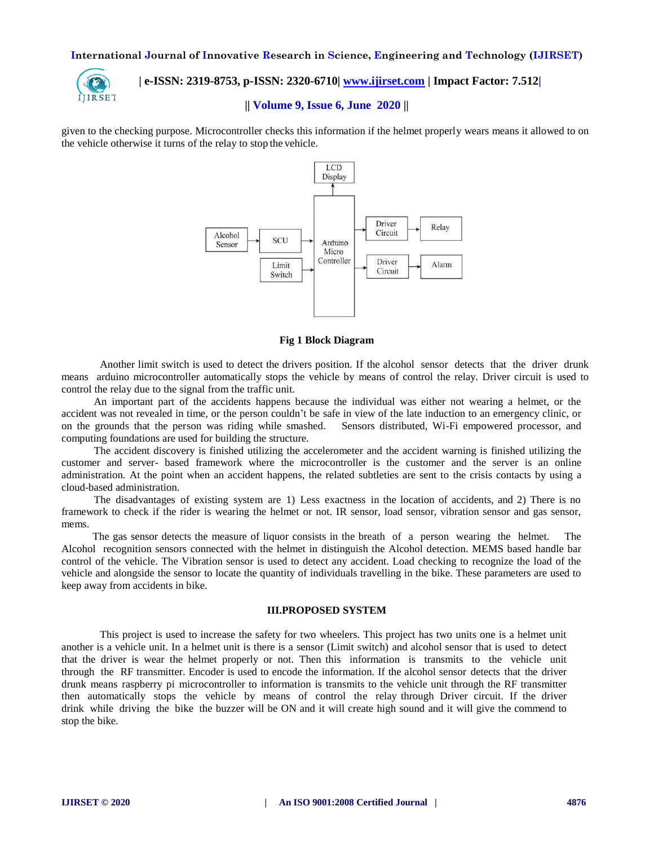

# **| e-ISSN: 2319-8753, p-ISSN: 2320-6710| [www.ijirset.com](http://www.ijirset.com/) | Impact Factor: 7.512|**

# **|| Volume 9, Issue 6, June 2020 ||**

given to the checking purpose. Microcontroller checks this information if the helmet properly wears means it allowed to on the vehicle otherwise it turns of the relay to stop the vehicle.



### **Fig 1 Block Diagram**

Another limit switch is used to detect the drivers position. If the alcohol sensor detects that the driver drunk means arduino microcontroller automatically stops the vehicle by means of control the relay. Driver circuit is used to control the relay due to the signal from the traffic unit.

An important part of the accidents happens because the individual was either not wearing a helmet, or the accident was not revealed in time, or the person couldn't be safe in view of the late induction to an emergency clinic, or on the grounds that the person was riding while smashed. Sensors distributed, Wi-Fi empowered processor, and computing foundations are used for building the structure.

The accident discovery is finished utilizing the accelerometer and the accident warning is finished utilizing the customer and server- based framework where the microcontroller is the customer and the server is an online administration. At the point when an accident happens, the related subtleties are sent to the crisis contacts by using a cloud-based administration.

The disadvantages of existing system are 1) Less exactness in the location of accidents, and 2) There is no framework to check if the rider is wearing the helmet or not. IR sensor, load sensor, vibration sensor and gas sensor, mems.

The gas sensor detects the measure of liquor consists in the breath of a person wearing the helmet. The Alcohol recognition sensors connected with the helmet in distinguish the Alcohol detection. MEMS based handle bar control of the vehicle. The Vibration sensor is used to detect any accident. Load checking to recognize the load of the vehicle and alongside the sensor to locate the quantity of individuals travelling in the bike. These parameters are used to keep away from accidents in bike.

## **III.PROPOSED SYSTEM**

This project is used to increase the safety for two wheelers. This project has two units one is a helmet unit another is a vehicle unit. In a helmet unit is there is a sensor (Limit switch) and alcohol sensor that is used to detect that the driver is wear the helmet properly or not. Then this information is transmits to the vehicle unit through the RF transmitter. Encoder is used to encode the information. If the alcohol sensor detects that the driver drunk means raspberry pi microcontroller to information is transmits to the vehicle unit through the RF transmitter then automatically stops the vehicle by means of control the relay through Driver circuit. If the driver drink while driving the bike the buzzer will be ON and it will create high sound and it will give the commend to stop the bike.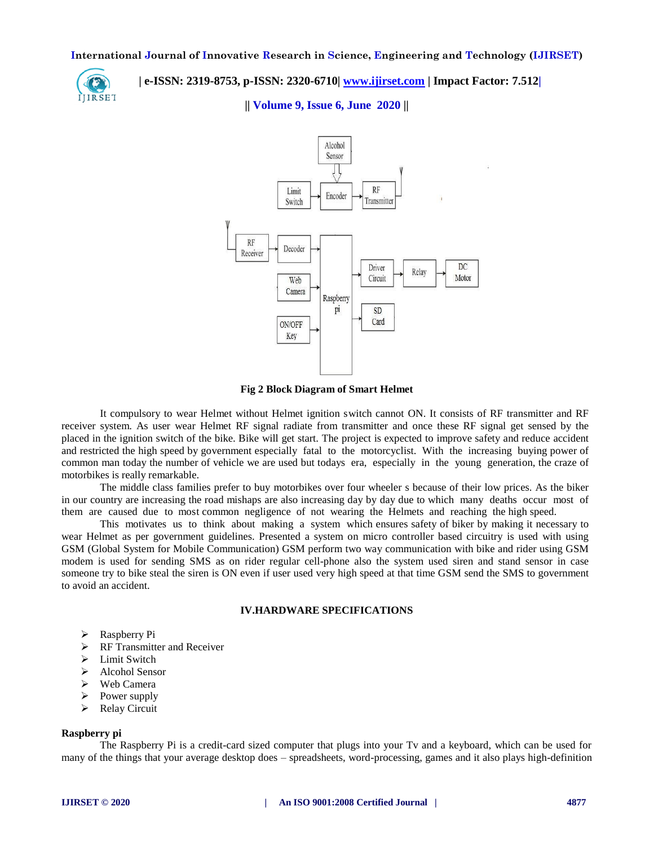

# **| e-ISSN: 2319-8753, p-ISSN: 2320-6710| [www.ijirset.com](http://www.ijirset.com/) | Impact Factor: 7.512|**

**|| Volume 9, Issue 6, June 2020 ||** 



**Fig 2 Block Diagram of Smart Helmet**

It compulsory to wear Helmet without Helmet ignition switch cannot ON. It consists of RF transmitter and RF receiver system. As user wear Helmet RF signal radiate from transmitter and once these RF signal get sensed by the placed in the ignition switch of the bike. Bike will get start. The project is expected to improve safety and reduce accident and restricted the high speed by government especially fatal to the motorcyclist. With the increasing buying power of common man today the number of vehicle we are used but todays era, especially in the young generation, the craze of motorbikes is really remarkable.

The middle class families prefer to buy motorbikes over four wheeler s because of their low prices. As the biker in our country are increasing the road mishaps are also increasing day by day due to which many deaths occur most of them are caused due to most common negligence of not wearing the Helmets and reaching the high speed.

This motivates us to think about making a system which ensures safety of biker by making it necessary to wear Helmet as per government guidelines. Presented a system on micro controller based circuitry is used with using GSM (Global System for Mobile Communication) GSM perform two way communication with bike and rider using GSM modem is used for sending SMS as on rider regular cell-phone also the system used siren and stand sensor in case someone try to bike steal the siren is ON even if user used very high speed at that time GSM send the SMS to government to avoid an accident.

# **IV.HARDWARE SPECIFICATIONS**

- $\triangleright$  Raspberry Pi
- $\triangleright$  RF Transmitter and Receiver
- $\triangleright$  Limit Switch
- $\triangleright$  Alcohol Sensor
- $\triangleright$  Web Camera
- $\triangleright$  Power supply
- ▶ Relay Circuit

# **Raspberry pi**

The Raspberry Pi is a credit-card sized computer that plugs into your Tv and a keyboard, which can be used for many of the things that your average desktop does – spreadsheets, word-processing, games and it also plays high-definition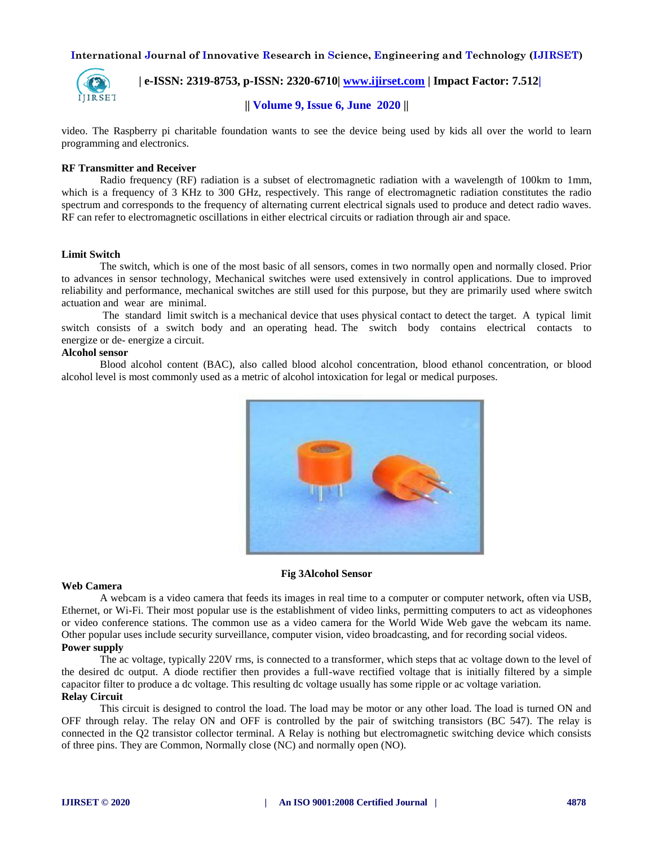

 **| e-ISSN: 2319-8753, p-ISSN: 2320-6710| [www.ijirset.com](http://www.ijirset.com/) | Impact Factor: 7.512|**

# **|| Volume 9, Issue 6, June 2020 ||**

video. The Raspberry pi charitable foundation wants to see the device being used by kids all over the world to learn programming and electronics.

# **RF Transmitter and Receiver**

Radio frequency (RF) radiation is a subset of electromagnetic radiation with a wavelength of 100km to 1mm, which is a frequency of 3 KHz to 300 GHz, respectively. This range of electromagnetic radiation constitutes the radio spectrum and corresponds to the frequency of alternating current electrical signals used to produce and detect radio waves. RF can refer to electromagnetic oscillations in either electrical circuits or radiation through air and space.

## **Limit Switch**

The switch, which is one of the most basic of all sensors, comes in two normally open and normally closed. Prior to advances in sensor technology, Mechanical switches were used extensively in control applications. Due to improved reliability and performance, mechanical switches are still used for this purpose, but they are primarily used where switch actuation and wear are minimal.

The standard limit switch is a mechanical device that uses physical contact to detect the target. A typical limit switch consists of a switch body and an operating head. The switch body contains electrical contacts to energize or de- energize a circuit.

## **Alcohol sensor**

Blood alcohol content (BAC), also called blood alcohol concentration, blood ethanol concentration, or blood alcohol level is most commonly used as a metric of alcohol intoxication for legal or medical purposes.



#### **Fig 3Alcohol Sensor**

#### **Web Camera**

A webcam is a video camera that feeds its images in real time to a computer or computer network, often via USB, Ethernet, or Wi-Fi. Their most popular use is the establishment of video links, permitting computers to act as videophones or video conference stations. The common use as a video camera for the World Wide Web gave the webcam its name. Other popular uses include security surveillance, computer vision, video broadcasting, and for recording social videos. **Power supply**

The ac voltage, typically 220V rms, is connected to a transformer, which steps that ac voltage down to the level of the desired dc output. A diode rectifier then provides a full-wave rectified voltage that is initially filtered by a simple capacitor filter to produce a dc voltage. This resulting dc voltage usually has some ripple or ac voltage variation. **Relay Circuit**

This circuit is designed to control the load. The load may be motor or any other load. The load is turned ON and OFF through relay. The relay ON and OFF is controlled by the pair of switching transistors (BC 547). The relay is connected in the Q2 transistor collector terminal. A Relay is nothing but electromagnetic switching device which consists of three pins. They are Common, Normally close (NC) and normally open (NO).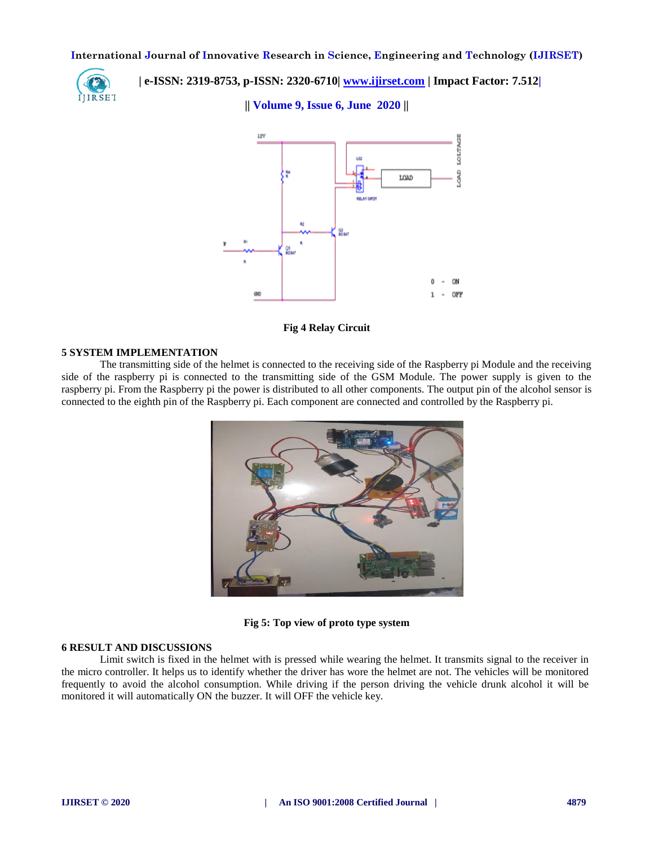

 **| e-ISSN: 2319-8753, p-ISSN: 2320-6710| [www.ijirset.com](http://www.ijirset.com/) | Impact Factor: 7.512|**

**|| Volume 9, Issue 6, June 2020 ||** 



**Fig 4 Relay Circuit**

## **5 SYSTEM IMPLEMENTATION**

The transmitting side of the helmet is connected to the receiving side of the Raspberry pi Module and the receiving side of the raspberry pi is connected to the transmitting side of the GSM Module. The power supply is given to the raspberry pi. From the Raspberry pi the power is distributed to all other components. The output pin of the alcohol sensor is connected to the eighth pin of the Raspberry pi. Each component are connected and controlled by the Raspberry pi.



**Fig 5: Top view of proto type system**

# **6 RESULT AND DISCUSSIONS**

Limit switch is fixed in the helmet with is pressed while wearing the helmet. It transmits signal to the receiver in the micro controller. It helps us to identify whether the driver has wore the helmet are not. The vehicles will be monitored frequently to avoid the alcohol consumption. While driving if the person driving the vehicle drunk alcohol it will be monitored it will automatically ON the buzzer. It will OFF the vehicle key.